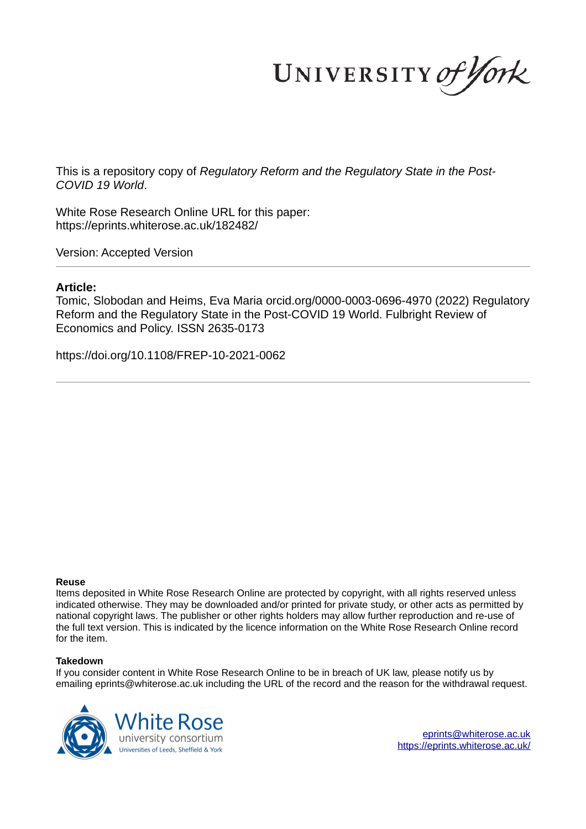UNIVERSITY of York

This is a repository copy of *Regulatory Reform and the Regulatory State in the Post-COVID 19 World*.

White Rose Research Online URL for this paper: https://eprints.whiterose.ac.uk/182482/

Version: Accepted Version

# **Article:**

Tomic, Slobodan and Heims, Eva Maria orcid.org/0000-0003-0696-4970 (2022) Regulatory Reform and the Regulatory State in the Post-COVID 19 World. Fulbright Review of Economics and Policy. ISSN 2635-0173

https://doi.org/10.1108/FREP-10-2021-0062

# **Reuse**

Items deposited in White Rose Research Online are protected by copyright, with all rights reserved unless indicated otherwise. They may be downloaded and/or printed for private study, or other acts as permitted by national copyright laws. The publisher or other rights holders may allow further reproduction and re-use of the full text version. This is indicated by the licence information on the White Rose Research Online record for the item.

# **Takedown**

If you consider content in White Rose Research Online to be in breach of UK law, please notify us by emailing eprints@whiterose.ac.uk including the URL of the record and the reason for the withdrawal request.



eprints@whiterose.ac.uk https://eprints.whiterose.ac.uk/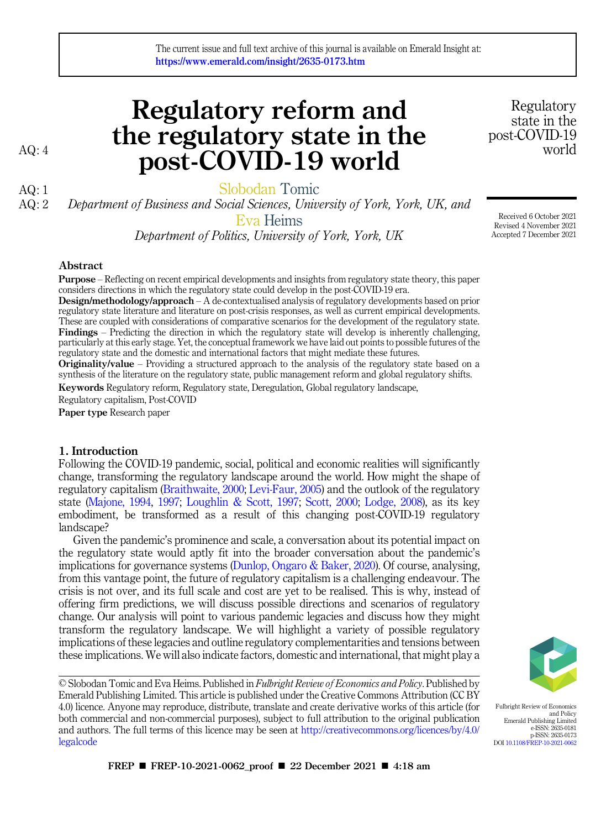# Regulatory reform and the regulatory state in the AQ: 4 **post-COVID-19 world** world

https://www.emerald.com/insight/2635-0173.htm

The current issue and full text archive of this journal is available on Emerald Insight at:

AQ: 1<br>AQ: 2 Department of Business and Social Sciences. Unive Department of Business and Social Sciences, University of York, York, UK, and Eva Heims

*Department of Politics, University of York, York, UK*

# Abstract

Purpose – Reflecting on recent empirical developments and insights from regulatory state theory, this paper considers directions in which the regulatory state could develop in the post-COVID-19 era.

Design/methodology/approach – A de-contextualised analysis of regulatory developments based on prior regulatory state literature and literature on post-crisis responses, as well as current empirical developments. These are coupled with considerations of comparative scenarios for the development of the regulatory state. Findings – Predicting the direction in which the regulatory state will develop is inherently challenging, particularly at this early stage. Yet, the conceptual framework we have laid out points to possible futures of the regulatory state and the domestic and international factors that might mediate these futures.

Originality/value – Providing a structured approach to the analysis of the regulatory state based on a synthesis of the literature on the regulatory state, public management reform and global regulatory shifts.

Keywords Regulatory reform, Regulatory state, Deregulation, Global regulatory landscape,

Regulatory capitalism, Post-COVID

Paper type Research paper

# 1. Introduction

Following the COVID-19 pandemic, social, political and economic realities will significantly change, transforming the regulatory landscape around the world. How might the shape of regulatory capitalism (Braithwaite, 2000; Levi-Faur, 2005) and the outlook of the regulatory state (Majone, 1994, 1997; Loughlin & Scott, 1997; Scott, 2000; Lodge, 2008), as its key embodiment, be transformed as a result of this changing post-COVID-19 regulatory landscape?

Given the pandemic's prominence and scale, a conversation about its potential impact on the regulatory state would aptly fit into the broader conversation about the pandemic's implications for governance systems (Dunlop, Ongaro & Baker, 2020). Of course, analysing, from this vantage point, the future of regulatory capitalism is a challenging endeavour. The crisis is not over, and its full scale and cost are yet to be realised. This is why, instead of offering firm predictions, we will discuss possible directions and scenarios of regulatory change. Our analysis will point to various pandemic legacies and discuss how they might transform the regulatory landscape. We will highlight a variety of possible regulatory implications of these legacies and outline regulatory complementarities and tensions between these implications. We will also indicate factors, domestic and international, that might play a

© Slobodan Tomic and Eva Heims. Published in *Fulbright Review of Economics and Policy*. Published by Emerald Publishing Limited. This article is published under the Creative Commons Attribution (CC BY 4.0) licence. Anyone may reproduce, distribute, translate and create derivative works of this article (for both commercial and non-commercial purposes), subject to full attribution to the original publication and authors. The full terms of this licence may be seen at http://creativecommons.org/licences/by/4.0/ legalcode

state in the post-COVID-19

Regulatory

Received 6 October 2021 Revised 4 November 2021 Accepted 7 December 2021



Fulbright Review of Economics and Policy Emerald Publishing Limited e-ISSN: 2635-0181 p-ISSN: 2635-0173 DOI 10.1108/FREP-10-2021-0062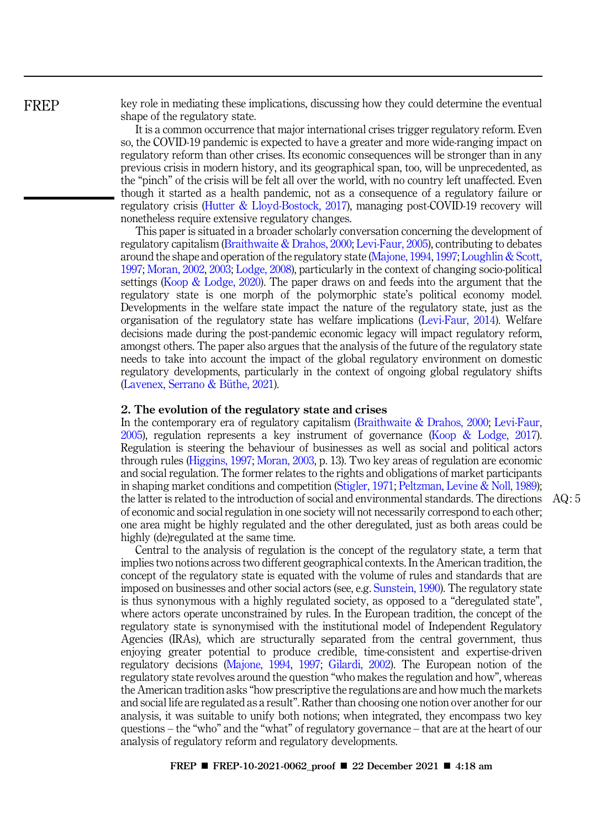key role in mediating these implications, discussing how they could determine the eventual shape of the regulatory state.

It is a common occurrence that major international crises trigger regulatory reform. Even so, the COVID-19 pandemic is expected to have a greater and more wide-ranging impact on regulatory reform than other crises. Its economic consequences will be stronger than in any previous crisis in modern history, and its geographical span, too, will be unprecedented, as the "pinch" of the crisis will be felt all over the world, with no country left unaffected. Even though it started as a health pandemic, not as a consequence of a regulatory failure or regulatory crisis (Hutter & Lloyd-Bostock, 2017), managing post-COVID-19 recovery will nonetheless require extensive regulatory changes.

This paper is situated in a broader scholarly conversation concerning the development of regulatory capitalism (Braithwaite & Drahos, 2000; Levi-Faur, 2005), contributing to debates around the shape and operation of the regulatory state (Majone, 1994, 1997; Loughlin & Scott, 1997; Moran, 2002, 2003; Lodge, 2008), particularly in the context of changing socio-political settings (Koop & Lodge, 2020). The paper draws on and feeds into the argument that the regulatory state is one morph of the polymorphic state's political economy model. Developments in the welfare state impact the nature of the regulatory state, just as the organisation of the regulatory state has welfare implications (Levi-Faur, 2014). Welfare decisions made during the post-pandemic economic legacy will impact regulatory reform, amongst others. The paper also argues that the analysis of the future of the regulatory state needs to take into account the impact of the global regulatory environment on domestic regulatory developments, particularly in the context of ongoing global regulatory shifts  $(Lavenez, Serrano & Büthe, 2021).$ 

#### 2. The evolution of the regulatory state and crises

In the contemporary era of regulatory capitalism (Braithwaite & Drahos, 2000; Levi-Faur, 2005), regulation represents a key instrument of governance (Koop & Lodge, 2017). Regulation is steering the behaviour of businesses as well as social and political actors through rules (Higgins, 1997; Moran, 2003, p. 13). Two key areas of regulation are economic and social regulation. The former relates to the rights and obligations of market participants in shaping market conditions and competition (Stigler, 1971; Peltzman, Levine & Noll, 1989); the latter is related to the introduction of social and environmental standards. The directions AQ : 5 of economic and social regulation in one society will not necessarily correspond to each other; one area might be highly regulated and the other deregulated, just as both areas could be highly (de)regulated at the same time.

Central to the analysis of regulation is the concept of the regulatory state, a term that implies two notions across two different geographical contexts. In the American tradition, the concept of the regulatory state is equated with the volume of rules and standards that are imposed on businesses and other social actors (see, e.g. Sunstein, 1990). The regulatory state is thus synonymous with a highly regulated society, as opposed to a "deregulated state", where actors operate unconstrained by rules. In the European tradition, the concept of the regulatory state is synonymised with the institutional model of Independent Regulatory Agencies (IRAs), which are structurally separated from the central government, thus enjoying greater potential to produce credible, time-consistent and expertise-driven regulatory decisions (Majone, 1994, 1997; Gilardi, 2002). The European notion of the regulatory state revolves around the question "who makes the regulation and how", whereas the American tradition asks "how prescriptive the regulations are and how much the markets and social life are regulated as a result". Rather than choosing one notion over another for our analysis, it was suitable to unify both notions; when integrated, they encompass two key questions – the "who" and the "what" of regulatory governance – that are at the heart of our analysis of regulatory reform and regulatory developments.

FREP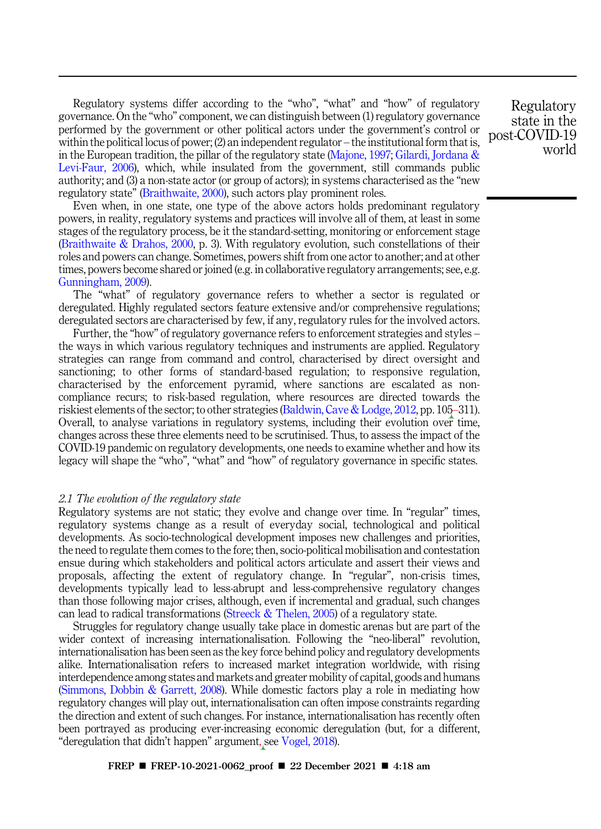Regulatory systems differ according to the "who", "what" and "how" of regulatory governance. On the "who" component, we can distinguish between (1) regulatory governance performed by the government or other political actors under the government's control or within the political locus of power; (2) an independent regulator – the institutional form that is, in the European tradition, the pillar of the regulatory state (Majone, 1997; Gilardi, Jordana & Levi-Faur, 2006), which, while insulated from the government, still commands public authority; and (3) a non-state actor (or group of actors); in systems characterised as the "new regulatory state" (Braithwaite, 2000), such actors play prominent roles.

Even when, in one state, one type of the above actors holds predominant regulatory powers, in reality, regulatory systems and practices will involve all of them, at least in some stages of the regulatory process, be it the standard-setting, monitoring or enforcement stage (Braithwaite & Drahos, 2000, p. 3). With regulatory evolution, such constellations of their roles and powers can change. Sometimes, powers shift from one actor to another; and at other times, powers become shared or joined (e.g. in collaborative regulatory arrangements; see, e.g. Gunningham, 2009).

The "what" of regulatory governance refers to whether a sector is regulated or deregulated. Highly regulated sectors feature extensive and/or comprehensive regulations; deregulated sectors are characterised by few, if any, regulatory rules for the involved actors.

Further, the "how" of regulatory governance refers to enforcement strategies and styles – the ways in which various regulatory techniques and instruments are applied. Regulatory strategies can range from command and control, characterised by direct oversight and sanctioning; to other forms of standard-based regulation; to responsive regulation, characterised by the enforcement pyramid, where sanctions are escalated as noncompliance recurs; to risk-based regulation, where resources are directed towards the riskiest elements of the sector; to other strategies (Baldwin, Cave & Lodge, 2012, pp. 105–311). Overall, to analyse variations in regulatory systems, including their evolution over time, changes across these three elements need to be scrutinised. Thus, to assess the impact of the COVID-19 pandemic on regulatory developments, one needs to examine whether and how its legacy will shape the "who", "what" and "how" of regulatory governance in specific states.

## *2.1 The evolution of the regulatory state*

Regulatory systems are not static; they evolve and change over time. In "regular" times, regulatory systems change as a result of everyday social, technological and political developments. As socio-technological development imposes new challenges and priorities, the need to regulate them comes to the fore; then, socio-political mobilisation and contestation ensue during which stakeholders and political actors articulate and assert their views and proposals, affecting the extent of regulatory change. In "regular", non-crisis times, developments typically lead to less-abrupt and less-comprehensive regulatory changes than those following major crises, although, even if incremental and gradual, such changes can lead to radical transformations (Streeck & Thelen, 2005) of a regulatory state.

Struggles for regulatory change usually take place in domestic arenas but are part of the wider context of increasing internationalisation. Following the "neo-liberal" revolution, internationalisation has been seen as the key force behind policy and regulatory developments alike. Internationalisation refers to increased market integration worldwide, with rising interdependence among states and markets and greater mobility of capital, goods and humans (Simmons, Dobbin & Garrett, 2008). While domestic factors play a role in mediating how regulatory changes will play out, internationalisation can often impose constraints regarding the direction and extent of such changes. For instance, internationalisation has recently often been portrayed as producing ever-increasing economic deregulation (but, for a different, "deregulation that didn't happen" argument, see Vogel, 2018).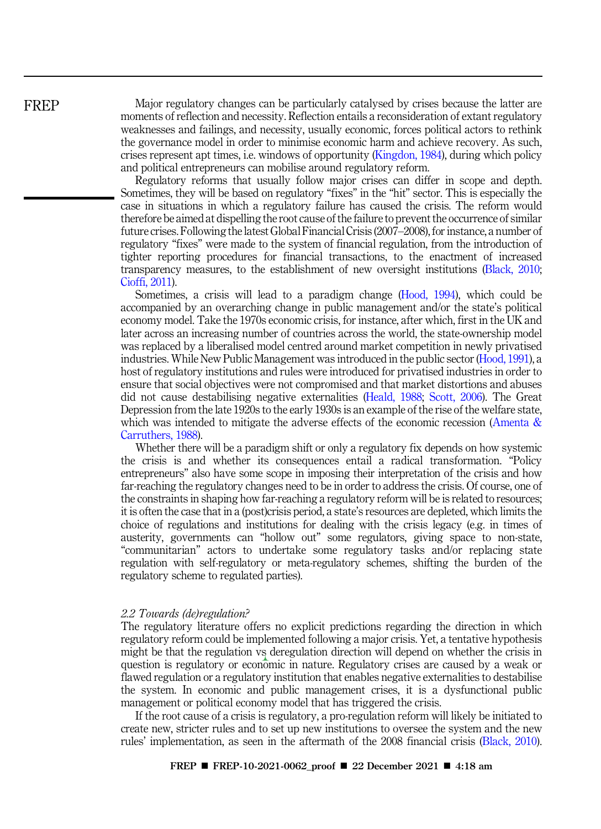FREP

Major regulatory changes can be particularly catalysed by crises because the latter are moments of reflection and necessity. Reflection entails a reconsideration of extant regulatory weaknesses and failings, and necessity, usually economic, forces political actors to rethink the governance model in order to minimise economic harm and achieve recovery. As such, crises represent apt times, i.e. windows of opportunity (Kingdon, 1984), during which policy and political entrepreneurs can mobilise around regulatory reform.

Regulatory reforms that usually follow major crises can differ in scope and depth. Sometimes, they will be based on regulatory "fixes" in the "hit" sector. This is especially the case in situations in which a regulatory failure has caused the crisis. The reform would therefore be aimed at dispelling the root cause of the failure to prevent the occurrence of similar future crises. Following the latest Global Financial Crisis (2007–2008), for instance, a number of regulatory "fixes" were made to the system of financial regulation, from the introduction of tighter reporting procedures for financial transactions, to the enactment of increased transparency measures, to the establishment of new oversight institutions (Black, 2010; Cioffi, 2011).

Sometimes, a crisis will lead to a paradigm change (Hood, 1994), which could be accompanied by an overarching change in public management and/or the state's political economy model. Take the 1970s economic crisis, for instance, after which, first in the UK and later across an increasing number of countries across the world, the state-ownership model was replaced by a liberalised model centred around market competition in newly privatised industries. While New Public Management was introduced in the public sector (Hood, 1991), a host of regulatory institutions and rules were introduced for privatised industries in order to ensure that social objectives were not compromised and that market distortions and abuses did not cause destabilising negative externalities (Heald, 1988; Scott, 2006). The Great Depression from the late 1920s to the early 1930s is an example of the rise of the welfare state, which was intended to mitigate the adverse effects of the economic recession (Amenta & Carruthers, 1988).

Whether there will be a paradigm shift or only a regulatory fix depends on how systemic the crisis is and whether its consequences entail a radical transformation. "Policy entrepreneurs" also have some scope in imposing their interpretation of the crisis and how far-reaching the regulatory changes need to be in order to address the crisis. Of course, one of the constraints in shaping how far-reaching a regulatory reform will be is related to resources; it is often the case that in a (post)crisis period, a state's resources are depleted, which limits the choice of regulations and institutions for dealing with the crisis legacy (e.g. in times of austerity, governments can "hollow out" some regulators, giving space to non-state, "communitarian" actors to undertake some regulatory tasks and/or replacing state regulation with self-regulatory or meta-regulatory schemes, shifting the burden of the regulatory scheme to regulated parties).

#### *2.2 Towards (de)regulation?*

The regulatory literature offers no explicit predictions regarding the direction in which regulatory reform could be implemented following a major crisis. Yet, a tentative hypothesis might be that the regulation vs deregulation direction will depend on whether the crisis in question is regulatory or economic in nature. Regulatory crises are caused by a weak or flawed regulation or a regulatory institution that enables negative externalities to destabilise the system. In economic and public management crises, it is a dysfunctional public management or political economy model that has triggered the crisis.

If the root cause of a crisis is regulatory, a pro-regulation reform will likely be initiated to create new, stricter rules and to set up new institutions to oversee the system and the new rules' implementation, as seen in the aftermath of the 2008 financial crisis (Black, 2010).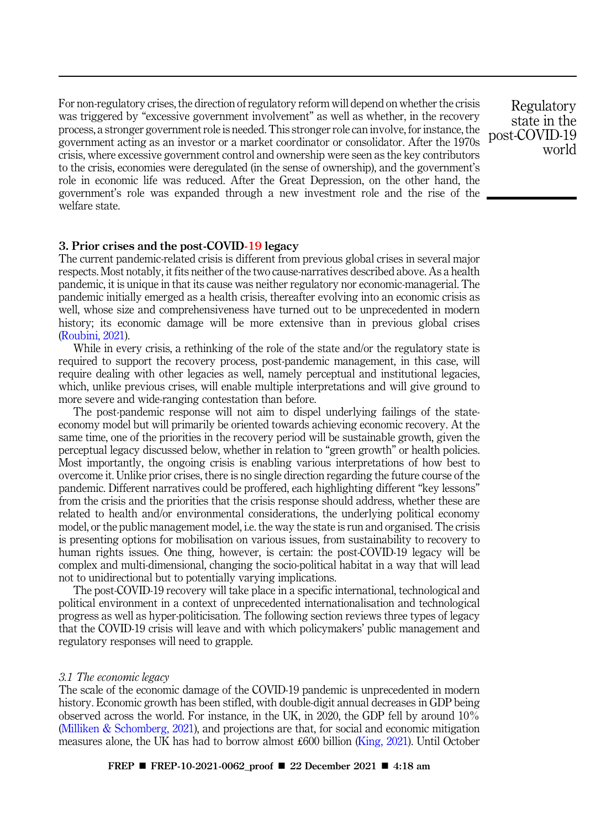For non-regulatory crises, the direction of regulatory reform will depend on whether the crisis was triggered by "excessive government involvement" as well as whether, in the recovery process, a stronger government role is needed. This stronger role can involve, for instance, the government acting as an investor or a market coordinator or consolidator. After the 1970s crisis, where excessive government control and ownership were seen as the key contributors to the crisis, economies were deregulated (in the sense of ownership), and the government's role in economic life was reduced. After the Great Depression, on the other hand, the government's role was expanded through a new investment role and the rise of the welfare state.

Regulatory state in the post-COVID-19 world

# 3. Prior crises and the post-COVID-19 legacy

The current pandemic-related crisis is different from previous global crises in several major respects. Most notably, it fits neither of the two cause-narratives described above. As a health pandemic, it is unique in that its cause was neither regulatory nor economic-managerial. The pandemic initially emerged as a health crisis, thereafter evolving into an economic crisis as well, whose size and comprehensiveness have turned out to be unprecedented in modern history; its economic damage will be more extensive than in previous global crises (Roubini, 2021).

While in every crisis, a rethinking of the role of the state and/or the regulatory state is required to support the recovery process, post-pandemic management, in this case, will require dealing with other legacies as well, namely perceptual and institutional legacies, which, unlike previous crises, will enable multiple interpretations and will give ground to more severe and wide-ranging contestation than before.

The post-pandemic response will not aim to dispel underlying failings of the stateeconomy model but will primarily be oriented towards achieving economic recovery. At the same time, one of the priorities in the recovery period will be sustainable growth, given the perceptual legacy discussed below, whether in relation to "green growth" or health policies. Most importantly, the ongoing crisis is enabling various interpretations of how best to overcome it. Unlike prior crises, there is no single direction regarding the future course of the pandemic. Different narratives could be proffered, each highlighting different "key lessons" from the crisis and the priorities that the crisis response should address, whether these are related to health and/or environmental considerations, the underlying political economy model, or the public management model, i.e. the way the state is run and organised. The crisis is presenting options for mobilisation on various issues, from sustainability to recovery to human rights issues. One thing, however, is certain: the post-COVID-19 legacy will be complex and multi-dimensional, changing the socio-political habitat in a way that will lead not to unidirectional but to potentially varying implications.

The post-COVID-19 recovery will take place in a specific international, technological and political environment in a context of unprecedented internationalisation and technological progress as well as hyper-politicisation. The following section reviews three types of legacy that the COVID-19 crisis will leave and with which policymakers' public management and regulatory responses will need to grapple.

## *3.1 The economic legacy*

The scale of the economic damage of the COVID-19 pandemic is unprecedented in modern history. Economic growth has been stifled, with double-digit annual decreases in GDP being observed across the world. For instance, in the UK, in 2020, the GDP fell by around 10% (Milliken & Schomberg, 2021), and projections are that, for social and economic mitigation measures alone, the UK has had to borrow almost £600 billion (King, 2021). Until October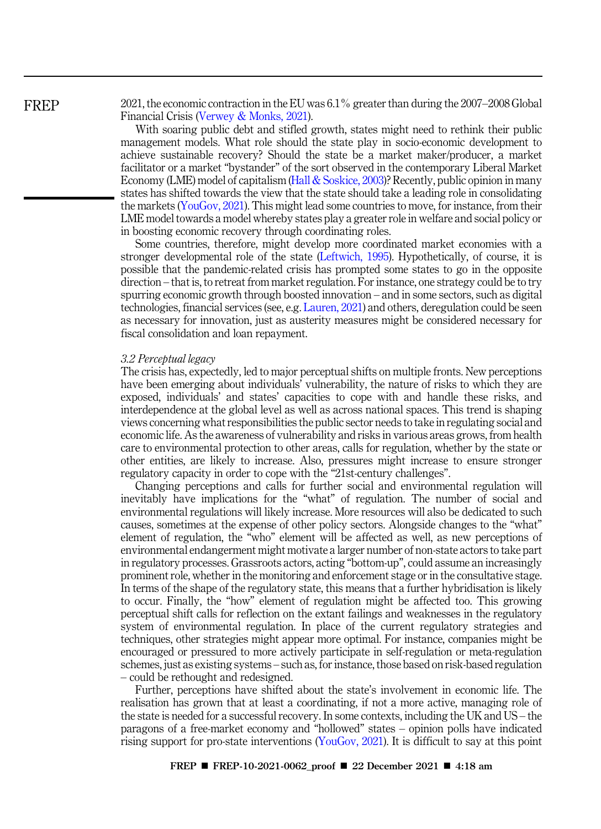2021, the economic contraction in the EU was 6.1% greater than during the 2007–2008 Global Financial Crisis (Verwey & Monks, 2021).

With soaring public debt and stifled growth, states might need to rethink their public management models. What role should the state play in socio-economic development to achieve sustainable recovery? Should the state be a market maker/producer, a market facilitator or a market "bystander" of the sort observed in the contemporary Liberal Market Economy (LME) model of capitalism (Hall & Soskice, 2003)? Recently, public opinion in many states has shifted towards the view that the state should take a leading role in consolidating the markets (YouGov, 2021). This might lead some countries to move, for instance, from their LME model towards a model whereby states play a greater role in welfare and social policy or in boosting economic recovery through coordinating roles.

Some countries, therefore, might develop more coordinated market economies with a stronger developmental role of the state (Leftwich, 1995). Hypothetically, of course, it is possible that the pandemic-related crisis has prompted some states to go in the opposite direction – that is, to retreat from market regulation. For instance, one strategy could be to try spurring economic growth through boosted innovation – and in some sectors, such as digital technologies, financial services (see, e.g. Lauren, 2021) and others, deregulation could be seen as necessary for innovation, just as austerity measures might be considered necessary for fiscal consolidation and loan repayment.

#### *3.2 Perceptual legacy*

The crisis has, expectedly, led to major perceptual shifts on multiple fronts. New perceptions have been emerging about individuals' vulnerability, the nature of risks to which they are exposed, individuals' and states' capacities to cope with and handle these risks, and interdependence at the global level as well as across national spaces. This trend is shaping views concerning what responsibilities the public sector needs to take in regulating social and economic life. As the awareness of vulnerability and risks in various areas grows, from health care to environmental protection to other areas, calls for regulation, whether by the state or other entities, are likely to increase. Also, pressures might increase to ensure stronger regulatory capacity in order to cope with the "21st-century challenges".

Changing perceptions and calls for further social and environmental regulation will inevitably have implications for the "what" of regulation. The number of social and environmental regulations will likely increase. More resources will also be dedicated to such causes, sometimes at the expense of other policy sectors. Alongside changes to the "what" element of regulation, the "who" element will be affected as well, as new perceptions of environmental endangerment might motivate a larger number of non-state actors to take part in regulatory processes. Grassroots actors, acting "bottom-up", could assume an increasingly prominent role, whether in the monitoring and enforcement stage or in the consultative stage. In terms of the shape of the regulatory state, this means that a further hybridisation is likely to occur. Finally, the "how" element of regulation might be affected too. This growing perceptual shift calls for reflection on the extant failings and weaknesses in the regulatory system of environmental regulation. In place of the current regulatory strategies and techniques, other strategies might appear more optimal. For instance, companies might be encouraged or pressured to more actively participate in self-regulation or meta-regulation schemes, just as existing systems – such as, for instance, those based on risk-based regulation – could be rethought and redesigned.

Further, perceptions have shifted about the state's involvement in economic life. The realisation has grown that at least a coordinating, if not a more active, managing role of the state is needed for a successful recovery. In some contexts, including the UK and US – the paragons of a free-market economy and "hollowed" states – opinion polls have indicated rising support for pro-state interventions (YouGov, 2021). It is difficult to say at this point

# FREP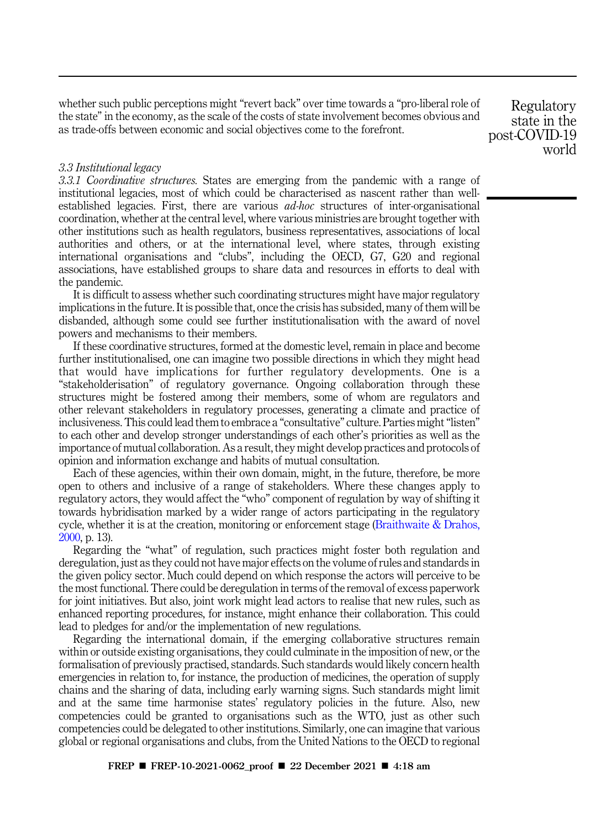whether such public perceptions might "revert back" over time towards a "pro-liberal role of the state" in the economy, as the scale of the costs of state involvement becomes obvious and as trade-offs between economic and social objectives come to the forefront.

*3.3 Institutional legacy*

*3.3.1 Coordinative structures.* States are emerging from the pandemic with a range of institutional legacies, most of which could be characterised as nascent rather than wellestablished legacies. First, there are various *ad-hoc* structures of inter-organisational coordination, whether at the central level, where various ministries are brought together with other institutions such as health regulators, business representatives, associations of local authorities and others, or at the international level, where states, through existing international organisations and "clubs", including the OECD, G7, G20 and regional associations, have established groups to share data and resources in efforts to deal with the pandemic.

It is difficult to assess whether such coordinating structures might have major regulatory implications in the future. It is possible that, once the crisis has subsided, many of them will be disbanded, although some could see further institutionalisation with the award of novel powers and mechanisms to their members.

If these coordinative structures, formed at the domestic level, remain in place and become further institutionalised, one can imagine two possible directions in which they might head that would have implications for further regulatory developments. One is a "stakeholderisation" of regulatory governance. Ongoing collaboration through these structures might be fostered among their members, some of whom are regulators and other relevant stakeholders in regulatory processes, generating a climate and practice of inclusiveness. This could lead them to embrace a "consultative" culture. Parties might "listen" to each other and develop stronger understandings of each other's priorities as well as the importance of mutual collaboration. As a result, they might develop practices and protocols of opinion and information exchange and habits of mutual consultation.

Each of these agencies, within their own domain, might, in the future, therefore, be more open to others and inclusive of a range of stakeholders. Where these changes apply to regulatory actors, they would affect the "who" component of regulation by way of shifting it towards hybridisation marked by a wider range of actors participating in the regulatory cycle, whether it is at the creation, monitoring or enforcement stage (Braithwaite & Drahos, 2000, p. 13).

Regarding the "what" of regulation, such practices might foster both regulation and deregulation, just as they could not have major effects on the volume of rules and standards in the given policy sector. Much could depend on which response the actors will perceive to be the most functional. There could be deregulation in terms of the removal of excess paperwork for joint initiatives. But also, joint work might lead actors to realise that new rules, such as enhanced reporting procedures, for instance, might enhance their collaboration. This could lead to pledges for and/or the implementation of new regulations.

Regarding the international domain, if the emerging collaborative structures remain within or outside existing organisations, they could culminate in the imposition of new, or the formalisation of previously practised, standards. Such standards would likely concern health emergencies in relation to, for instance, the production of medicines, the operation of supply chains and the sharing of data, including early warning signs. Such standards might limit and at the same time harmonise states' regulatory policies in the future. Also, new competencies could be granted to organisations such as the WTO, just as other such competencies could be delegated to other institutions. Similarly, one can imagine that various global or regional organisations and clubs, from the United Nations to the OECD to regional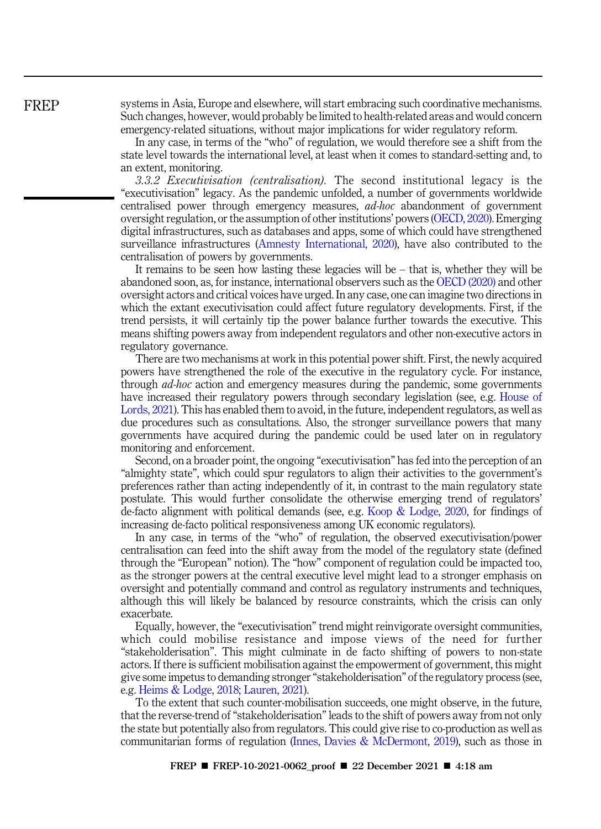systems in Asia, Europe and elsewhere, will start embracing such coordinative mechanisms. Such changes, however, would probably be limited to health-related areas and would concern emergency-related situations, without major implications for wider regulatory reform.

In any case, in terms of the "who" of regulation, we would therefore see a shift from the state level towards the international level, at least when it comes to standard-setting and, to an extent, monitoring.

*3.3.2 Executivisation (centralisation).* The second institutional legacy is the "executivisation" legacy. As the pandemic unfolded, a number of governments worldwide centralised power through emergency measures, *ad-hoc* abandonment of government oversight regulation, or the assumption of other institutions' powers (OECD, 2020). Emerging digital infrastructures, such as databases and apps, some of which could have strengthened surveillance infrastructures (Amnesty International, 2020), have also contributed to the centralisation of powers by governments.

It remains to be seen how lasting these legacies will be – that is, whether they will be abandoned soon, as, for instance, international observers such as the OECD (2020) and other oversight actors and critical voices have urged. In any case, one can imagine two directions in which the extant executivisation could affect future regulatory developments. First, if the trend persists, it will certainly tip the power balance further towards the executive. This means shifting powers away from independent regulators and other non-executive actors in regulatory governance.

There are two mechanisms at work in this potential power shift. First, the newly acquired powers have strengthened the role of the executive in the regulatory cycle. For instance, through *ad-hoc* action and emergency measures during the pandemic, some governments have increased their regulatory powers through secondary legislation (see, e.g. House of Lords, 2021). This has enabled them to avoid, in the future, independent regulators, as well as due procedures such as consultations. Also, the stronger surveillance powers that many governments have acquired during the pandemic could be used later on in regulatory monitoring and enforcement.

Second, on a broader point, the ongoing "executivisation" has fed into the perception of an "almighty state", which could spur regulators to align their activities to the government's preferences rather than acting independently of it, in contrast to the main regulatory state postulate. This would further consolidate the otherwise emerging trend of regulators' de-facto alignment with political demands (see, e.g. Koop & Lodge, 2020, for findings of increasing de-facto political responsiveness among UK economic regulators).

In any case, in terms of the "who" of regulation, the observed executivisation/power centralisation can feed into the shift away from the model of the regulatory state (defined through the "European" notion). The "how" component of regulation could be impacted too, as the stronger powers at the central executive level might lead to a stronger emphasis on oversight and potentially command and control as regulatory instruments and techniques, although this will likely be balanced by resource constraints, which the crisis can only exacerbate.

Equally, however, the "executivisation" trend might reinvigorate oversight communities, which could mobilise resistance and impose views of the need for further "stakeholderisation". This might culminate in de facto shifting of powers to non-state actors. If there is sufficient mobilisation against the empowerment of government, this might give some impetus to demanding stronger"stakeholderisation" of the regulatory process (see, e.g. Heims & Lodge, 2018; Lauren, 2021).

To the extent that such counter-mobilisation succeeds, one might observe, in the future, that the reverse-trend of "stakeholderisation" leads to the shift of powers away from not only the state but potentially also from regulators. This could give rise to co-production as well as communitarian forms of regulation (Innes, Davies & McDermont, 2019), such as those in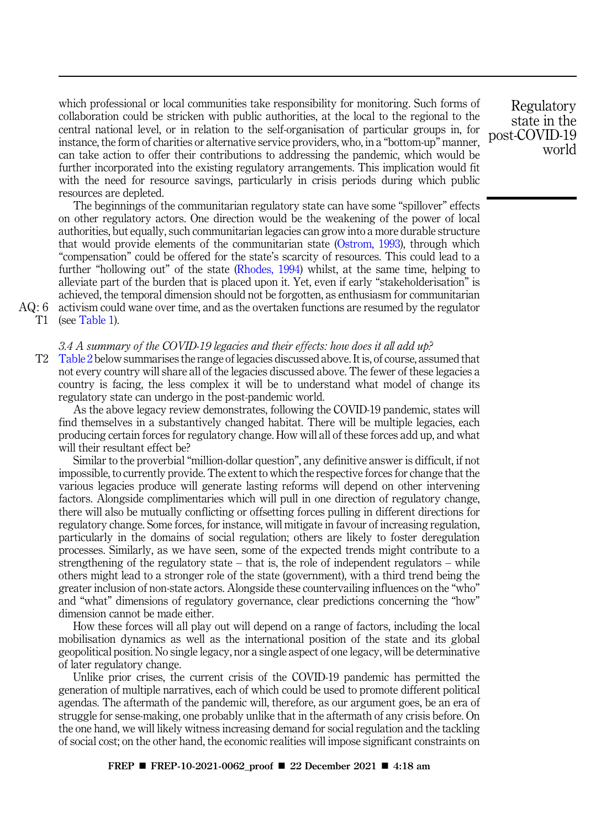which professional or local communities take responsibility for monitoring. Such forms of collaboration could be stricken with public authorities, at the local to the regional to the central national level, or in relation to the self-organisation of particular groups in, for instance, the form of charities or alternative service providers, who, in a "bottom-up" manner, can take action to offer their contributions to addressing the pandemic, which would be further incorporated into the existing regulatory arrangements. This implication would fit with the need for resource savings, particularly in crisis periods during which public resources are depleted.

The beginnings of the communitarian regulatory state can have some "spillover" effects on other regulatory actors. One direction would be the weakening of the power of local authorities, but equally, such communitarian legacies can grow into a more durable structure that would provide elements of the communitarian state (Ostrom, 1993), through which "compensation" could be offered for the state's scarcity of resources. This could lead to a further "hollowing out" of the state (Rhodes, 1994) whilst, at the same time, helping to alleviate part of the burden that is placed upon it. Yet, even if early "stakeholderisation" is achieved, the temporal dimension should not be forgotten, as enthusiasm for communitarian AQ : 6 activism could wane over time, and as the overtaken functions are resumed by the regulator T1 (see Table 1).

## *3.4 A summary of the COVID-19 legacies and their effects: how does it all add up?*

T2 Table 2 below summarises the range of legacies discussed above. It is, of course, assumed that not every country will share all of the legacies discussed above. The fewer of these legacies a country is facing, the less complex it will be to understand what model of change its regulatory state can undergo in the post-pandemic world.

As the above legacy review demonstrates, following the COVID-19 pandemic, states will find themselves in a substantively changed habitat. There will be multiple legacies, each producing certain forces for regulatory change. How will all of these forces add up, and what will their resultant effect be?

Similar to the proverbial "million-dollar question", any definitive answer is difficult, if not impossible, to currently provide. The extent to which the respective forces for change that the various legacies produce will generate lasting reforms will depend on other intervening factors. Alongside complimentaries which will pull in one direction of regulatory change, there will also be mutually conflicting or offsetting forces pulling in different directions for regulatory change. Some forces, for instance, will mitigate in favour of increasing regulation, particularly in the domains of social regulation; others are likely to foster deregulation processes. Similarly, as we have seen, some of the expected trends might contribute to a strengthening of the regulatory state – that is, the role of independent regulators – while others might lead to a stronger role of the state (government), with a third trend being the greater inclusion of non-state actors. Alongside these countervailing influences on the "who" and "what" dimensions of regulatory governance, clear predictions concerning the "how" dimension cannot be made either.

How these forces will all play out will depend on a range of factors, including the local mobilisation dynamics as well as the international position of the state and its global geopolitical position. No single legacy, nor a single aspect of one legacy, will be determinative of later regulatory change.

Unlike prior crises, the current crisis of the COVID-19 pandemic has permitted the generation of multiple narratives, each of which could be used to promote different political agendas. The aftermath of the pandemic will, therefore, as our argument goes, be an era of struggle for sense-making, one probably unlike that in the aftermath of any crisis before. On the one hand, we will likely witness increasing demand for social regulation and the tackling of social cost; on the other hand, the economic realities will impose significant constraints on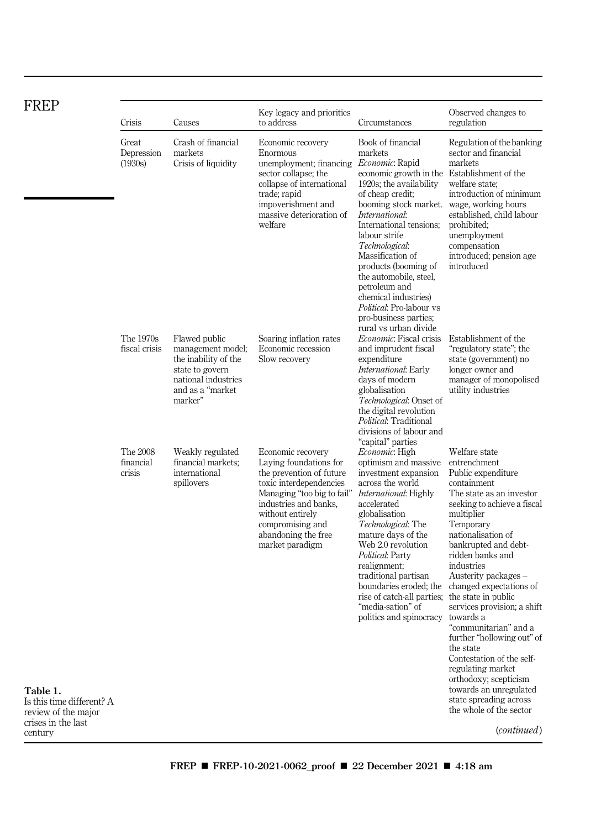| FREP                                                                                          |                                 |                                                                                                                                     |                                                                                                                                                                                                                                             |                                                                                                                                                                                                                                                                                                                                                                                                                                                             |                                                                                                                                                                                                                                                                                                                                                                                                                                                                                                               |
|-----------------------------------------------------------------------------------------------|---------------------------------|-------------------------------------------------------------------------------------------------------------------------------------|---------------------------------------------------------------------------------------------------------------------------------------------------------------------------------------------------------------------------------------------|-------------------------------------------------------------------------------------------------------------------------------------------------------------------------------------------------------------------------------------------------------------------------------------------------------------------------------------------------------------------------------------------------------------------------------------------------------------|---------------------------------------------------------------------------------------------------------------------------------------------------------------------------------------------------------------------------------------------------------------------------------------------------------------------------------------------------------------------------------------------------------------------------------------------------------------------------------------------------------------|
|                                                                                               | Crisis                          | Causes                                                                                                                              | Key legacy and priorities<br>to address                                                                                                                                                                                                     | Circumstances                                                                                                                                                                                                                                                                                                                                                                                                                                               | Observed changes to<br>regulation                                                                                                                                                                                                                                                                                                                                                                                                                                                                             |
|                                                                                               | Great<br>Depression<br>(1930s)  | Crash of financial<br>markets<br>Crisis of liquidity                                                                                | Economic recovery<br>Enormous<br>unemployment; financing <i>Economic</i> : Rapid<br>sector collapse; the<br>collapse of international<br>trade; rapid<br>impoverishment and<br>massive deterioration of<br>welfare                          | Book of financial<br>markets<br>economic growth in the Establishment of the<br>1920s; the availability<br>of cheap credit;<br>booming stock market. wage, working hours<br><i>International:</i><br>International tensions;<br>labour strife<br>Technological:<br>Massification of<br>products (booming of<br>the automobile, steel,<br>petroleum and<br>chemical industries)<br>Political: Pro-labour vs<br>pro-business parties;<br>rural vs urban divide | Regulation of the banking<br>sector and financial<br>markets<br>welfare state;<br>introduction of minimum<br>established, child labour<br>prohibited;<br>unemployment<br>compensation<br>introduced; pension age<br>introduced                                                                                                                                                                                                                                                                                |
|                                                                                               | The 1970s<br>fiscal crisis      | Flawed public<br>management model;<br>the inability of the<br>state to govern<br>national industries<br>and as a "market<br>marker" | Soaring inflation rates<br>Economic recession<br>Slow recovery                                                                                                                                                                              | <i>Economic</i> : Fiscal crisis<br>and imprudent fiscal<br>expenditure<br><i>International</i> : Early<br>days of modern<br>globalisation<br>Technological: Onset of<br>the digital revolution<br>Political: Traditional<br>divisions of labour and<br>"capital" parties                                                                                                                                                                                    | Establishment of the<br>"regulatory state"; the<br>state (government) no<br>longer owner and<br>manager of monopolised<br>utility industries                                                                                                                                                                                                                                                                                                                                                                  |
|                                                                                               | The 2008<br>financial<br>crisis | Weakly regulated<br>financial markets;<br>international<br>spillovers                                                               | Economic recovery<br>Laying foundations for<br>the prevention of future<br>toxic interdependencies<br>Managing "too big to fail"<br>industries and banks.<br>without entirely<br>compromising and<br>abandoning the free<br>market paradigm | <i>Economic</i> : High<br>optimism and massive<br>investment expansion<br>across the world<br><i>International</i> : Highly<br>accelerated<br>globalisation<br>Technological: The<br>mature days of the<br>Web 2.0 revolution<br>Political: Party<br>realignment;<br>traditional partisan<br>rise of catch-all parties; the state in public<br>"media-sation" of<br>politics and spinocracy                                                                 | Welfare state<br>entrenchment<br>Public expenditure<br>containment<br>The state as an investor<br>seeking to achieve a fiscal<br>multiplier<br>Temporary<br>nationalisation of<br>bankrupted and debt-<br>ridden banks and<br>industries<br>Austerity packages –<br>boundaries eroded; the changed expectations of<br>services provision; a shift<br>towards a<br>"communitarian" and a<br>further "hollowing out" of<br>the state<br>Contestation of the self-<br>regulating market<br>orthodoxy; scepticism |
| Table 1.<br>Is this time different? A<br>review of the major<br>crises in the last<br>century |                                 |                                                                                                                                     |                                                                                                                                                                                                                                             |                                                                                                                                                                                                                                                                                                                                                                                                                                                             | towards an unregulated<br>state spreading across<br>the whole of the sector<br>( <i>continued</i> )                                                                                                                                                                                                                                                                                                                                                                                                           |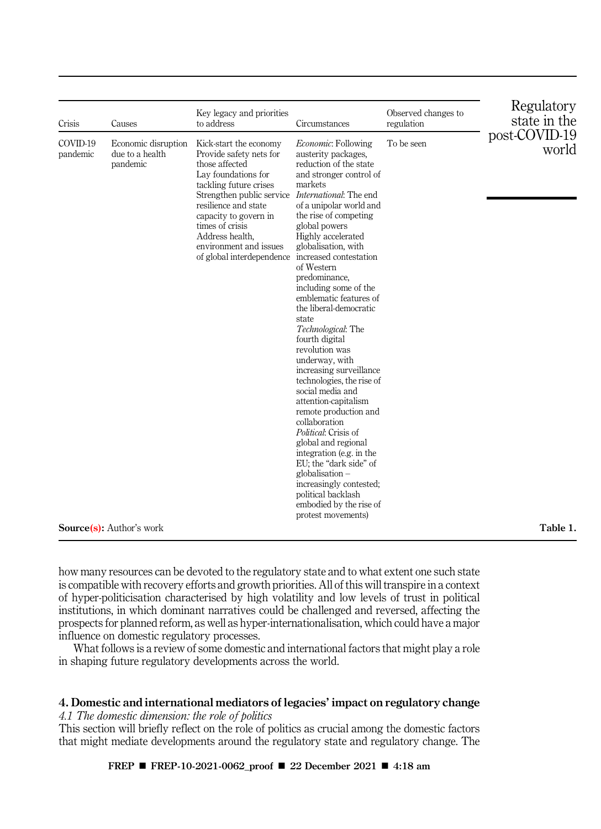| COVID-19<br>Economic: Following<br>To be seen<br>Economic disruption<br>Kick-start the economy<br>due to a health<br>pandemic<br>Provide safety nets for<br>austerity packages,<br>those affected<br>reduction of the state<br>pandemic<br>Lay foundations for<br>and stronger control of                                                                                                                                                                                                                                                                                                                                                                                                                                                                                                                                                                                                                                                                 | Crisis | Causes | Key legacy and priorities<br>to address | Circumstances | Observed changes to<br>regulation | Regulatory<br>state in the         |
|-----------------------------------------------------------------------------------------------------------------------------------------------------------------------------------------------------------------------------------------------------------------------------------------------------------------------------------------------------------------------------------------------------------------------------------------------------------------------------------------------------------------------------------------------------------------------------------------------------------------------------------------------------------------------------------------------------------------------------------------------------------------------------------------------------------------------------------------------------------------------------------------------------------------------------------------------------------|--------|--------|-----------------------------------------|---------------|-----------------------------------|------------------------------------|
| Strengthen public service International: The end<br>resilience and state<br>of a unipolar world and<br>capacity to govern in<br>the rise of competing<br>times of crisis<br>global powers<br>Address health.<br>Highly accelerated<br>environment and issues<br>globalisation, with<br>increased contestation<br>of global interdependence<br>of Western<br>predominance,<br>including some of the<br>emblematic features of<br>the liberal-democratic<br>state<br>Technological: The<br>fourth digital<br>revolution was<br>underway, with<br>increasing surveillance<br>technologies, the rise of<br>social media and<br>attention-capitalism<br>remote production and<br>collaboration<br>Political: Crisis of<br>global and regional<br>integration (e.g. in the<br>EU; the "dark side" of<br>$globalisation -$<br>increasingly contested;<br>political backlash<br>embodied by the rise of<br>protest movements)<br><b>Source</b> (s): Author's work |        |        | tackling future crises                  | markets       |                                   | post-COVID-19<br>world<br>Table 1. |

how many resources can be devoted to the regulatory state and to what extent one such state is compatible with recovery efforts and growth priorities. All of this will transpire in a context of hyper-politicisation characterised by high volatility and low levels of trust in political institutions, in which dominant narratives could be challenged and reversed, affecting the prospects for planned reform, as well as hyper-internationalisation, which could have a major influence on domestic regulatory processes.

What follows is a review of some domestic and international factors that might play a role in shaping future regulatory developments across the world.

# 4. Domestic and international mediators of legacies' impact on regulatory change

*4.1 The domestic dimension: the role of politics*

This section will briefly reflect on the role of politics as crucial among the domestic factors that might mediate developments around the regulatory state and regulatory change. The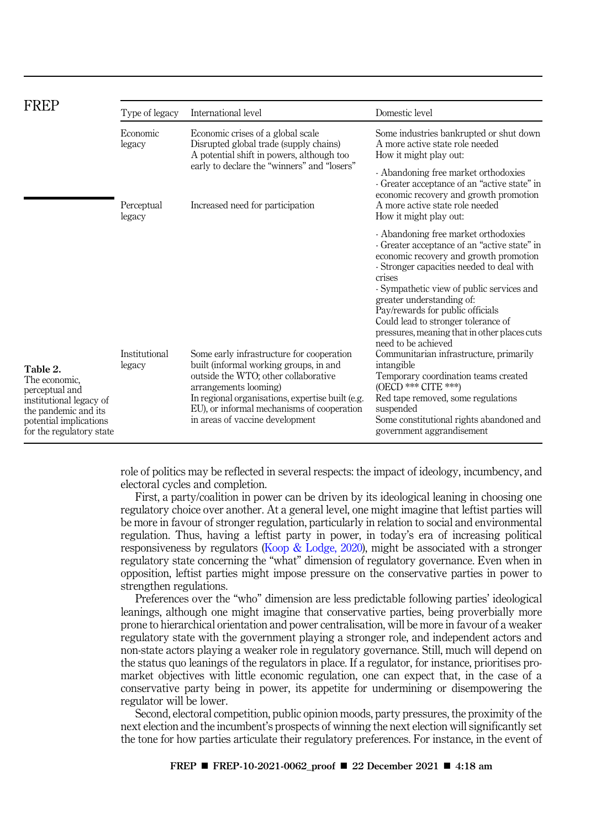| <b>FREP</b>                                                                                                                                          | Type of legacy                             | International level                                                                                                                                                                                                                                                                       | Domestic level                                                                                                                                                                                                                                                                                                                                                                                                                                                                                                                                                                                                                                                        |
|------------------------------------------------------------------------------------------------------------------------------------------------------|--------------------------------------------|-------------------------------------------------------------------------------------------------------------------------------------------------------------------------------------------------------------------------------------------------------------------------------------------|-----------------------------------------------------------------------------------------------------------------------------------------------------------------------------------------------------------------------------------------------------------------------------------------------------------------------------------------------------------------------------------------------------------------------------------------------------------------------------------------------------------------------------------------------------------------------------------------------------------------------------------------------------------------------|
|                                                                                                                                                      | Economic<br>legacy<br>Perceptual<br>legacy | Economic crises of a global scale<br>Disrupted global trade (supply chains)<br>A potential shift in powers, although too                                                                                                                                                                  | Some industries bankrupted or shut down<br>A more active state role needed<br>How it might play out:                                                                                                                                                                                                                                                                                                                                                                                                                                                                                                                                                                  |
|                                                                                                                                                      |                                            | early to declare the "winners" and "losers"<br>Increased need for participation                                                                                                                                                                                                           | - Abandoning free market orthodoxies<br>- Greater acceptance of an "active state" in<br>economic recovery and growth promotion<br>A more active state role needed<br>How it might play out:                                                                                                                                                                                                                                                                                                                                                                                                                                                                           |
| Table 2.<br>The economic.<br>perceptual and<br>institutional legacy of<br>the pandemic and its<br>potential implications<br>for the regulatory state | Institutional<br>legacy                    | Some early infrastructure for cooperation<br>built (informal working groups, in and<br>outside the WTO; other collaborative<br>arrangements looming)<br>In regional organisations, expertise built (e.g.<br>EU), or informal mechanisms of cooperation<br>in areas of vaccine development | - Abandoning free market orthodoxies<br>- Greater acceptance of an "active state" in<br>economic recovery and growth promotion<br>- Stronger capacities needed to deal with<br>crises<br>- Sympathetic view of public services and<br>greater understanding of:<br>Pay/rewards for public officials<br>Could lead to stronger tolerance of<br>pressures, meaning that in other places cuts<br>need to be achieved<br>Communitarian infrastructure, primarily<br>intangible<br>Temporary coordination teams created<br>(OECD *** CITE ***)<br>Red tape removed, some regulations<br>suspended<br>Some constitutional rights abandoned and<br>government aggrandisement |

role of politics may be reflected in several respects: the impact of ideology, incumbency, and electoral cycles and completion.

First, a party/coalition in power can be driven by its ideological leaning in choosing one regulatory choice over another. At a general level, one might imagine that leftist parties will be more in favour of stronger regulation, particularly in relation to social and environmental regulation. Thus, having a leftist party in power, in today's era of increasing political responsiveness by regulators (Koop & Lodge, 2020), might be associated with a stronger regulatory state concerning the "what" dimension of regulatory governance. Even when in opposition, leftist parties might impose pressure on the conservative parties in power to strengthen regulations.

Preferences over the "who" dimension are less predictable following parties' ideological leanings, although one might imagine that conservative parties, being proverbially more prone to hierarchical orientation and power centralisation, will be more in favour of a weaker regulatory state with the government playing a stronger role, and independent actors and non-state actors playing a weaker role in regulatory governance. Still, much will depend on the status quo leanings of the regulators in place. If a regulator, for instance, prioritises promarket objectives with little economic regulation, one can expect that, in the case of a conservative party being in power, its appetite for undermining or disempowering the regulator will be lower.

Second, electoral competition, public opinion moods, party pressures, the proximity of the next election and the incumbent's prospects of winning the next election will significantly set the tone for how parties articulate their regulatory preferences. For instance, in the event of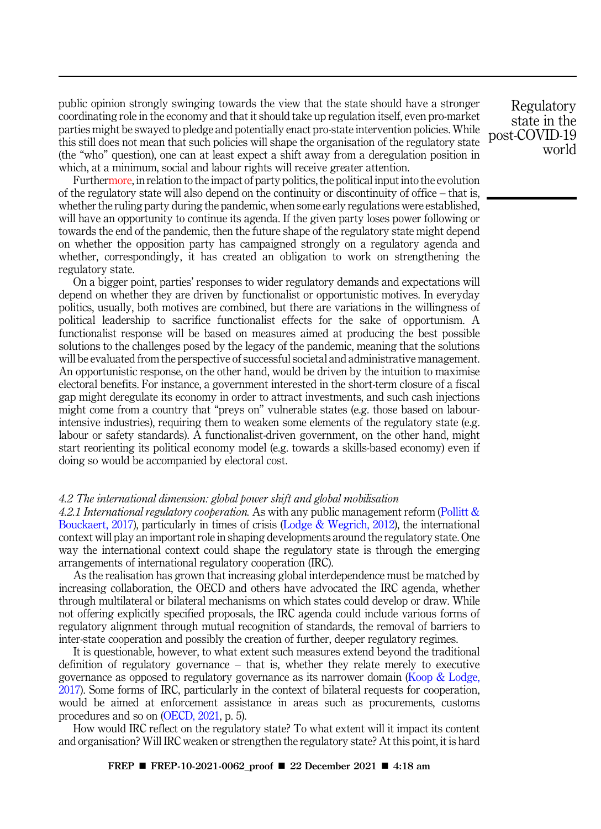public opinion strongly swinging towards the view that the state should have a stronger coordinating role in the economy and that it should take up regulation itself, even pro-market parties might be swayed to pledge and potentially enact pro-state intervention policies. While this still does not mean that such policies will shape the organisation of the regulatory state (the "who" question), one can at least expect a shift away from a deregulation position in which, at a minimum, social and labour rights will receive greater attention.

Furthermore, in relation to the impact of party politics, the political input into the evolution of the regulatory state will also depend on the continuity or discontinuity of office – that is, whether the ruling party during the pandemic, when some early regulations were established, will have an opportunity to continue its agenda. If the given party loses power following or towards the end of the pandemic, then the future shape of the regulatory state might depend on whether the opposition party has campaigned strongly on a regulatory agenda and whether, correspondingly, it has created an obligation to work on strengthening the regulatory state.

On a bigger point, parties' responses to wider regulatory demands and expectations will depend on whether they are driven by functionalist or opportunistic motives. In everyday politics, usually, both motives are combined, but there are variations in the willingness of political leadership to sacrifice functionalist effects for the sake of opportunism. A functionalist response will be based on measures aimed at producing the best possible solutions to the challenges posed by the legacy of the pandemic, meaning that the solutions will be evaluated from the perspective of successful societal and administrative management. An opportunistic response, on the other hand, would be driven by the intuition to maximise electoral benefits. For instance, a government interested in the short-term closure of a fiscal gap might deregulate its economy in order to attract investments, and such cash injections might come from a country that "preys on" vulnerable states (e.g. those based on labourintensive industries), requiring them to weaken some elements of the regulatory state (e.g. labour or safety standards). A functionalist-driven government, on the other hand, might start reorienting its political economy model (e.g. towards a skills-based economy) even if doing so would be accompanied by electoral cost.

## *4.2 The international dimension: global power shift and global mobilisation*

*4.2.1 International regulatory cooperation.* As with any public management reform (Pollitt & Bouckaert, 2017), particularly in times of crisis (Lodge & Wegrich, 2012), the international context will play an important role in shaping developments around the regulatory state. One way the international context could shape the regulatory state is through the emerging arrangements of international regulatory cooperation (IRC).

As the realisation has grown that increasing global interdependence must be matched by increasing collaboration, the OECD and others have advocated the IRC agenda, whether through multilateral or bilateral mechanisms on which states could develop or draw. While not offering explicitly specified proposals, the IRC agenda could include various forms of regulatory alignment through mutual recognition of standards, the removal of barriers to inter-state cooperation and possibly the creation of further, deeper regulatory regimes.

It is questionable, however, to what extent such measures extend beyond the traditional definition of regulatory governance – that is, whether they relate merely to executive governance as opposed to regulatory governance as its narrower domain (Koop & Lodge, 2017). Some forms of IRC, particularly in the context of bilateral requests for cooperation, would be aimed at enforcement assistance in areas such as procurements, customs procedures and so on (OECD, 2021, p. 5).

How would IRC reflect on the regulatory state? To what extent will it impact its content and organisation? Will IRC weaken or strengthen the regulatory state? At this point, it is hard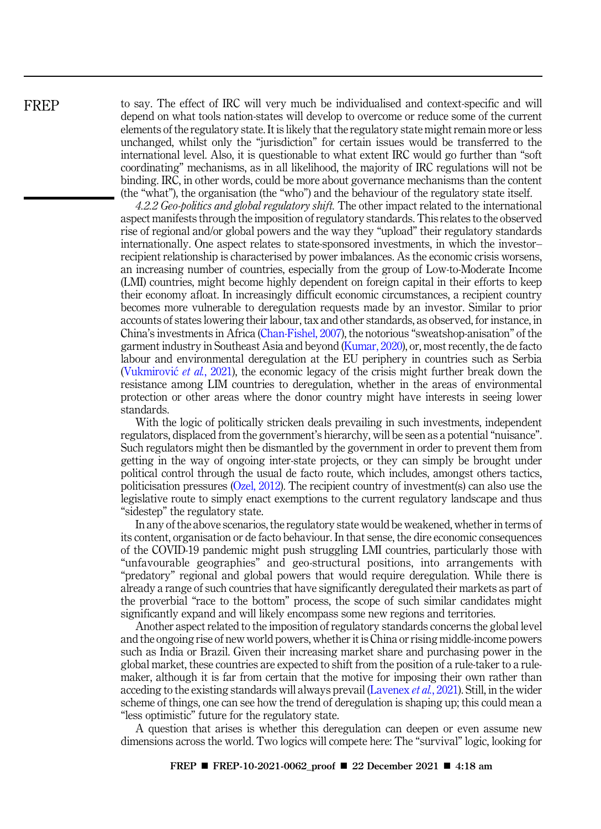to say. The effect of IRC will very much be individualised and context-specific and will depend on what tools nation-states will develop to overcome or reduce some of the current elements of the regulatory state. It is likely that the regulatory state might remain more or less unchanged, whilst only the "jurisdiction" for certain issues would be transferred to the international level. Also, it is questionable to what extent IRC would go further than "soft coordinating" mechanisms, as in all likelihood, the majority of IRC regulations will not be binding. IRC, in other words, could be more about governance mechanisms than the content (the "what"), the organisation (the "who") and the behaviour of the regulatory state itself.

*4.2.2 Geo-politics and global regulatory shift.* The other impact related to the international aspect manifests through the imposition of regulatory standards. This relates to the observed rise of regional and/or global powers and the way they "upload" their regulatory standards internationally. One aspect relates to state-sponsored investments, in which the investor– recipient relationship is characterised by power imbalances. As the economic crisis worsens, an increasing number of countries, especially from the group of Low-to-Moderate Income (LMI) countries, might become highly dependent on foreign capital in their efforts to keep their economy afloat. In increasingly difficult economic circumstances, a recipient country becomes more vulnerable to deregulation requests made by an investor. Similar to prior accounts of states lowering their labour, tax and other standards, as observed, for instance, in China's investments in Africa (Chan-Fishel, 2007), the notorious "sweatshop-anisation" of the garment industry in Southeast Asia and beyond (Kumar, 2020), or, most recently, the de facto labour and environmental deregulation at the EU periphery in countries such as Serbia (Vukmirović et al., 2021), the economic legacy of the crisis might further break down the resistance among LIM countries to deregulation, whether in the areas of environmental protection or other areas where the donor country might have interests in seeing lower standards.

With the logic of politically stricken deals prevailing in such investments, independent regulators, displaced from the government's hierarchy, will be seen as a potential "nuisance". Such regulators might then be dismantled by the government in order to prevent them from getting in the way of ongoing inter-state projects, or they can simply be brought under political control through the usual de facto route, which includes, amongst others tactics, politicisation pressures (Ozel, 2012). The recipient country of investment(s) can also use the legislative route to simply enact exemptions to the current regulatory landscape and thus "sidestep" the regulatory state.

In any of the above scenarios, the regulatory state would be weakened, whether in terms of its content, organisation or de facto behaviour. In that sense, the dire economic consequences of the COVID-19 pandemic might push struggling LMI countries, particularly those with "unfavourable geographies" and geo-structural positions, into arrangements with "predatory" regional and global powers that would require deregulation. While there is already a range of such countries that have significantly deregulated their markets as part of the proverbial "race to the bottom" process, the scope of such similar candidates might significantly expand and will likely encompass some new regions and territories.

Another aspect related to the imposition of regulatory standards concerns the global level and the ongoing rise of new world powers, whether it is China or rising middle-income powers such as India or Brazil. Given their increasing market share and purchasing power in the global market, these countries are expected to shift from the position of a rule-taker to a rulemaker, although it is far from certain that the motive for imposing their own rather than acceding to the existing standards will always prevail (Lavenex *et al.*, 2021). Still, in the wider scheme of things, one can see how the trend of deregulation is shaping up; this could mean a "less optimistic" future for the regulatory state.

A question that arises is whether this deregulation can deepen or even assume new dimensions across the world. Two logics will compete here: The "survival" logic, looking for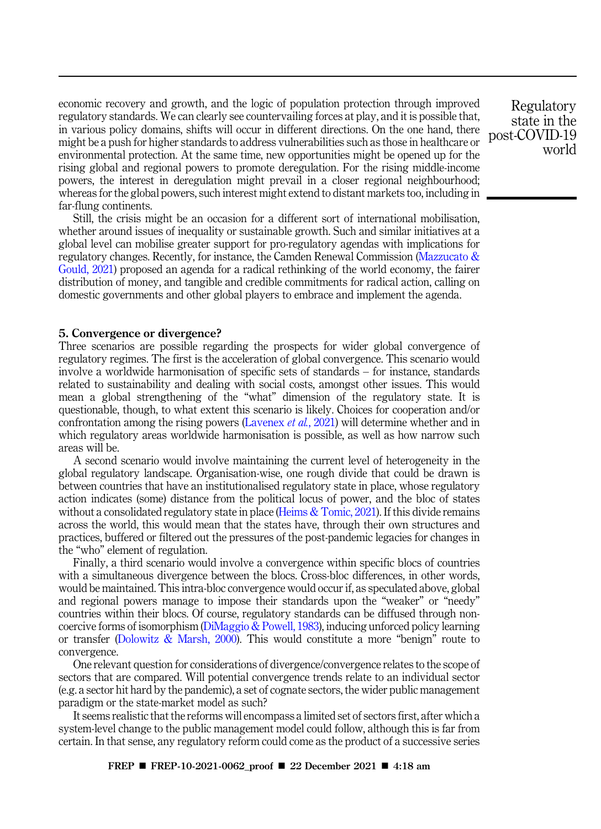economic recovery and growth, and the logic of population protection through improved regulatory standards. We can clearly see countervailing forces at play, and it is possible that, in various policy domains, shifts will occur in different directions. On the one hand, there might be a push for higher standards to address vulnerabilities such as those in healthcare or environmental protection. At the same time, new opportunities might be opened up for the rising global and regional powers to promote deregulation. For the rising middle-income powers, the interest in deregulation might prevail in a closer regional neighbourhood; whereas for the global powers, such interest might extend to distant markets too, including in far-flung continents.

Still, the crisis might be an occasion for a different sort of international mobilisation, whether around issues of inequality or sustainable growth. Such and similar initiatives at a global level can mobilise greater support for pro-regulatory agendas with implications for regulatory changes. Recently, for instance, the Camden Renewal Commission (Mazzucato & Gould, 2021) proposed an agenda for a radical rethinking of the world economy, the fairer distribution of money, and tangible and credible commitments for radical action, calling on domestic governments and other global players to embrace and implement the agenda.

#### 5. Convergence or divergence?

Three scenarios are possible regarding the prospects for wider global convergence of regulatory regimes. The first is the acceleration of global convergence. This scenario would involve a worldwide harmonisation of specific sets of standards – for instance, standards related to sustainability and dealing with social costs, amongst other issues. This would mean a global strengthening of the "what" dimension of the regulatory state. It is questionable, though, to what extent this scenario is likely. Choices for cooperation and/or confrontation among the rising powers (Lavenex *et al.*, 2021) will determine whether and in which regulatory areas worldwide harmonisation is possible, as well as how narrow such areas will be.

A second scenario would involve maintaining the current level of heterogeneity in the global regulatory landscape. Organisation-wise, one rough divide that could be drawn is between countries that have an institutionalised regulatory state in place, whose regulatory action indicates (some) distance from the political locus of power, and the bloc of states without a consolidated regulatory state in place (Heims  $&$  Tomic, 2021). If this divide remains across the world, this would mean that the states have, through their own structures and practices, buffered or filtered out the pressures of the post-pandemic legacies for changes in the "who" element of regulation.

Finally, a third scenario would involve a convergence within specific blocs of countries with a simultaneous divergence between the blocs. Cross-bloc differences, in other words, would be maintained. This intra-bloc convergence would occur if, as speculated above, global and regional powers manage to impose their standards upon the "weaker" or "needy" countries within their blocs. Of course, regulatory standards can be diffused through noncoercive forms of isomorphism (DiMaggio & Powell, 1983), inducing unforced policy learning or transfer (Dolowitz & Marsh, 2000). This would constitute a more "benign" route to convergence.

One relevant question for considerations of divergence/convergence relates to the scope of sectors that are compared. Will potential convergence trends relate to an individual sector (e.g. a sector hit hard by the pandemic), a set of cognate sectors, the wider public management paradigm or the state-market model as such?

It seems realistic that the reforms will encompass a limited set of sectors first, after which a system-level change to the public management model could follow, although this is far from certain. In that sense, any regulatory reform could come as the product of a successive series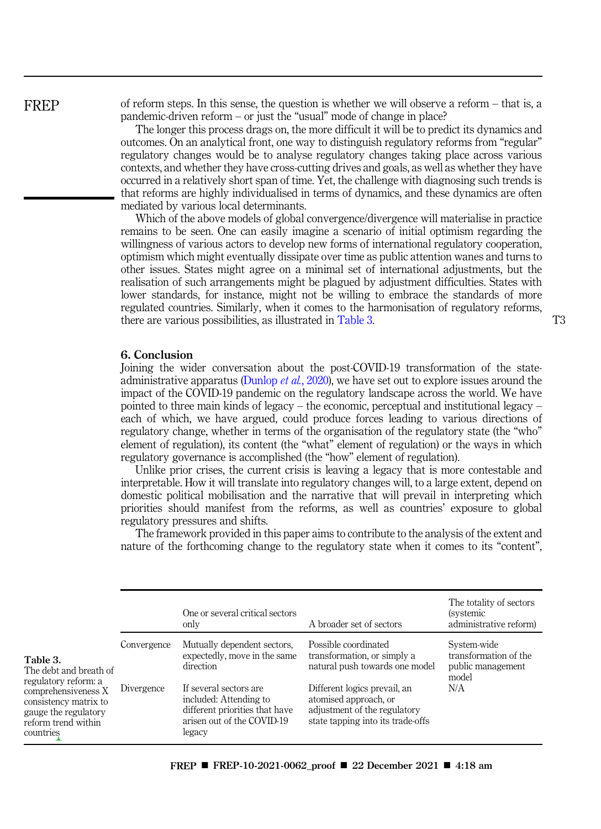of reform steps. In this sense, the question is whether we will observe a reform – that is, a pandemic-driven reform – or just the "usual" mode of change in place?

The longer this process drags on, the more difficult it will be to predict its dynamics and outcomes. On an analytical front, one way to distinguish regulatory reforms from "regular" regulatory changes would be to analyse regulatory changes taking place across various contexts, and whether they have cross-cutting drives and goals, as well as whether they have occurred in a relatively short span of time. Yet, the challenge with diagnosing such trends is that reforms are highly individualised in terms of dynamics, and these dynamics are often mediated by various local determinants.

Which of the above models of global convergence/divergence will materialise in practice remains to be seen. One can easily imagine a scenario of initial optimism regarding the willingness of various actors to develop new forms of international regulatory cooperation, optimism which might eventually dissipate over time as public attention wanes and turns to other issues. States might agree on a minimal set of international adjustments, but the realisation of such arrangements might be plagued by adjustment difficulties. States with lower standards, for instance, might not be willing to embrace the standards of more regulated countries. Similarly, when it comes to the harmonisation of regulatory reforms, there are various possibilities, as illustrated in Table 3. T3

## 6. Conclusion

Joining the wider conversation about the post-COVID-19 transformation of the stateadministrative apparatus (Dunlop *et al.*, 2020), we have set out to explore issues around the impact of the COVID-19 pandemic on the regulatory landscape across the world. We have pointed to three main kinds of legacy – the economic, perceptual and institutional legacy – each of which, we have argued, could produce forces leading to various directions of regulatory change, whether in terms of the organisation of the regulatory state (the "who" element of regulation), its content (the "what" element of regulation) or the ways in which regulatory governance is accomplished (the "how" element of regulation).

Unlike prior crises, the current crisis is leaving a legacy that is more contestable and interpretable. How it will translate into regulatory changes will, to a large extent, depend on domestic political mobilisation and the narrative that will prevail in interpreting which priorities should manifest from the reforms, as well as countries' exposure to global regulatory pressures and shifts.

The framework provided in this paper aims to contribute to the analysis of the extent and nature of the forthcoming change to the regulatory state when it comes to its "content",

|                                                                                                                                                                        |                           | One or several critical sectors<br>only                                                                                                                                                                | A broader set of sectors                                                                                                                                                                                            | The totality of sectors<br><i>(systemic)</i><br>administrative reform)    |
|------------------------------------------------------------------------------------------------------------------------------------------------------------------------|---------------------------|--------------------------------------------------------------------------------------------------------------------------------------------------------------------------------------------------------|---------------------------------------------------------------------------------------------------------------------------------------------------------------------------------------------------------------------|---------------------------------------------------------------------------|
| Table 3.<br>The debt and breath of<br>regulatory reform: a<br>comprehensiveness X<br>consistency matrix to<br>gauge the regulatory<br>reform trend within<br>countries | Convergence<br>Divergence | Mutually dependent sectors,<br>expectedly, move in the same<br>direction<br>If several sectors are<br>included: Attending to<br>different priorities that have<br>arisen out of the COVID-19<br>legacy | Possible coordinated<br>transformation, or simply a<br>natural push towards one model<br>Different logics prevail, an<br>atomised approach, or<br>adjustment of the regulatory<br>state tapping into its trade-offs | System-wide<br>transformation of the<br>public management<br>model<br>N/A |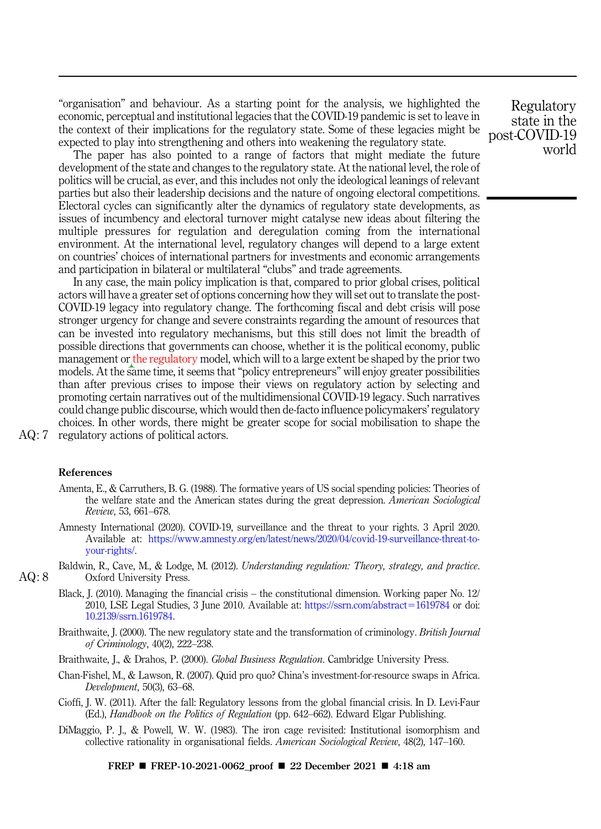"organisation" and behaviour. As a starting point for the analysis, we highlighted the economic, perceptual and institutional legacies that the COVID-19 pandemic is set to leave in the context of their implications for the regulatory state. Some of these legacies might be expected to play into strengthening and others into weakening the regulatory state.

The paper has also pointed to a range of factors that might mediate the future development of the state and changes to the regulatory state. At the national level, the role of politics will be crucial, as ever, and this includes not only the ideological leanings of relevant parties but also their leadership decisions and the nature of ongoing electoral competitions. Electoral cycles can significantly alter the dynamics of regulatory state developments, as issues of incumbency and electoral turnover might catalyse new ideas about filtering the multiple pressures for regulation and deregulation coming from the international environment. At the international level, regulatory changes will depend to a large extent on countries' choices of international partners for investments and economic arrangements and participation in bilateral or multilateral "clubs" and trade agreements.

In any case, the main policy implication is that, compared to prior global crises, political actors will have a greater set of options concerning how they will set out to translate the post-COVID-19 legacy into regulatory change. The forthcoming fiscal and debt crisis will pose stronger urgency for change and severe constraints regarding the amount of resources that can be invested into regulatory mechanisms, but this still does not limit the breadth of possible directions that governments can choose, whether it is the political economy, public management or the regulatory model, which will to a large extent be shaped by the prior two models. At the same time, it seems that "policy entrepreneurs" will enjoy greater possibilities than after previous crises to impose their views on regulatory action by selecting and promoting certain narratives out of the multidimensional COVID-19 legacy. Such narratives could change public discourse, which would then de-facto influence policymakers'regulatory choices. In other words, there might be greater scope for social mobilisation to shape the AQ: 7 regulatory actions of political actors.

#### References

- Amenta, E., & Carruthers, B. G. (1988). The formative years of US social spending policies: Theories of the welfare state and the American states during the great depression. *American Sociological Review*, 53, 661–678.
- Amnesty International (2020). COVID-19, surveillance and the threat to your rights. 3 April 2020. Available at: https://www.amnesty.org/en/latest/news/2020/04/covid-19-surveillance-threat-toyour-rights/.
- Baldwin, R., Cave, M., & Lodge, M. (2012). *Understanding regulation: Theory, strategy, and practice*. AQ: 8 Oxford University Press.
	- Black, J. (2010). Managing the financial crisis the constitutional dimension. Working paper No. 12/ 2010, LSE Legal Studies, 3 June 2010. Available at: https://ssrn.com/abstract=1619784 or doi: 10.2139/ssrn.1619784.
	- Braithwaite, J. (2000). The new regulatory state and the transformation of criminology. *British Journal of Criminology*, 40(2), 222–238.
	- Braithwaite, J., & Drahos, P. (2000). *Global Business Regulation*. Cambridge University Press.
	- Chan-Fishel, M., & Lawson, R. (2007). Quid pro quo? China's investment-for-resource swaps in Africa. *Development*, 50(3), 63–68.
	- Cioffi, J. W. (2011). After the fall: Regulatory lessons from the global financial crisis. In D. Levi-Faur (Ed.), *Handbook on the Politics of Regulation* (pp. 642–662). Edward Elgar Publishing.
	- DiMaggio, P. J., & Powell, W. W. (1983). The iron cage revisited: Institutional isomorphism and collective rationality in organisational fields. *American Sociological Review*, 48(2), 147–160.

FREP ■ FREP-10-2021-0062\_proof ■ 22 December 2021 ■ 4:18 am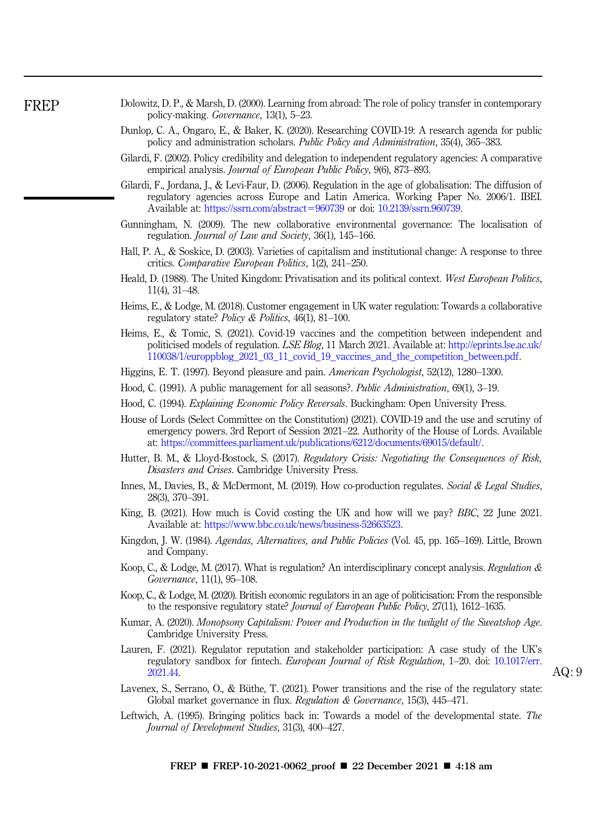- Dolowitz, D. P., & Marsh, D. (2000). Learning from abroad: The role of policy transfer in contemporary policy-making. *Governance*, 13(1), 5–23.
	- Dunlop, C. A., Ongaro, E., & Baker, K. (2020). Researching COVID-19: A research agenda for public policy and administration scholars. *Public Policy and Administration*, 35(4), 365–383.
	- Gilardi, F. (2002). Policy credibility and delegation to independent regulatory agencies: A comparative empirical analysis. *Journal of European Public Policy*, 9(6), 873–893.
	- Gilardi, F., Jordana, J., & Levi-Faur, D. (2006). Regulation in the age of globalisation: The diffusion of regulatory agencies across Europe and Latin America. Working Paper No. 2006/1. IBEI. Available at: https://ssrn.com/abstract=960739 or doi: 10.2139/ssrn.960739.
	- Gunningham, N. (2009). The new collaborative environmental governance: The localisation of regulation. *Journal of Law and Society*, 36(1), 145–166.
	- Hall, P. A., & Soskice, D. (2003). Varieties of capitalism and institutional change: A response to three critics. *Comparative European Politics*, 1(2), 241–250.
	- Heald, D. (1988). The United Kingdom: Privatisation and its political context. *West European Politics*, 11(4), 31–48.
	- Heims, E., & Lodge, M. (2018). Customer engagement in UK water regulation: Towards a collaborative regulatory state? *Policy & Politics*, 46(1), 81–100.
	- Heims, E., & Tomic, S. (2021). Covid-19 vaccines and the competition between independent and politicised models of regulation. *LSE Blog*, 11 March 2021. Available at: http://eprints.lse.ac.uk/ 110038/1/europpblog\_2021\_03\_11\_covid\_19\_vaccines\_and\_the\_competition\_between.pdf.
	- Higgins, E. T. (1997). Beyond pleasure and pain. *American Psychologist*, 52(12), 1280–1300.
	- Hood, C. (1991). A public management for all seasons?. *Public Administration*, 69(1), 3–19.
	- Hood, C. (1994). *Explaining Economic Policy Reversals*. Buckingham: Open University Press.
	- House of Lords (Select Committee on the Constitution) (2021). COVID-19 and the use and scrutiny of emergency powers. 3rd Report of Session 2021–22. Authority of the House of Lords. Available at: https://committees.parliament.uk/publications/6212/documents/69015/default/.
	- Hutter, B. M., & Lloyd-Bostock, S. (2017). *Regulatory Crisis: Negotiating the Consequences of Risk, Disasters and Crises*. Cambridge University Press.
	- Innes, M., Davies, B., & McDermont, M. (2019). How co-production regulates. *Social & Legal Studies*, 28(3), 370–391.
- King, B. (2021). How much is Covid costing the UK and how will we pay? *BBC*, 22 June 2021. Available at: https://www.bbc.co.uk/news/business-52663523.
- Kingdon, J. W. (1984). *Agendas, Alternatives, and Public Policies* (Vol. 45, pp. 165–169). Little, Brown and Company.
- Koop, C., & Lodge, M. (2017). What is regulation? An interdisciplinary concept analysis. *Regulation & Governance*, 11(1), 95–108.
- Koop, C., & Lodge, M. (2020). British economic regulators in an age of politicisation: From the responsible to the responsive regulatory state? *Journal of European Public Policy*, 27(11), 1612–1635.
- Kumar, A. (2020). *Monopsony Capitalism: Power and Production in the twilight of the Sweatshop Age*. Cambridge University Press.
- Lauren, F. (2021). Regulator reputation and stakeholder participation: A case study of the UK's regulatory sandbox for fintech. *European Journal of Risk Regulation*, 1–20. doi: 10.1017/err.  $2021.44.$  AQ: 9
- Lavenex, S., Serrano, O., & Büthe, T. (2021). Power transitions and the rise of the regulatory state: Global market governance in flux. *Regulation & Governance*, 15(3), 445–471.
- Leftwich, A. (1995). Bringing politics back in: Towards a model of the developmental state. *The Journal of Development Studies*, 31(3), 400–427.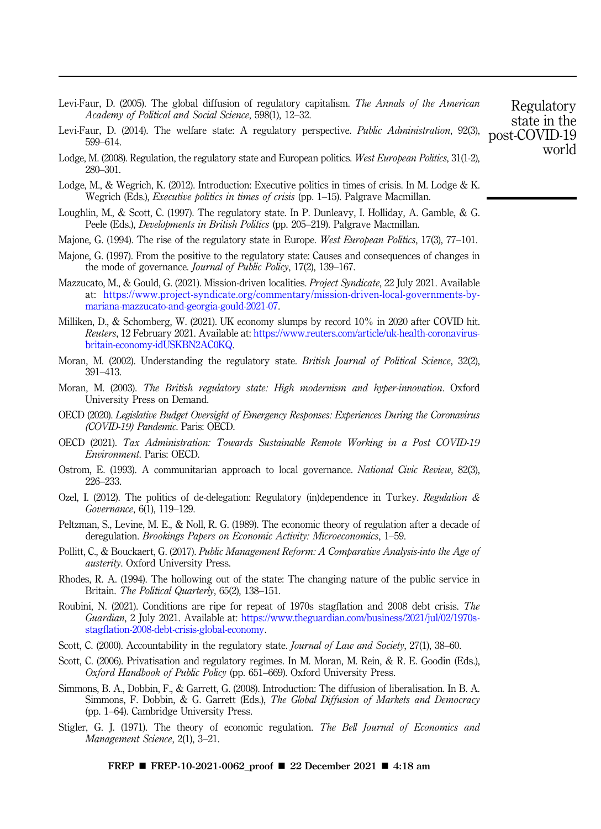- Levi-Faur, D. (2005). The global diffusion of regulatory capitalism. *The Annals of the American Academy of Political and Social Science*, 598(1), 12–32.
- Levi-Faur, D. (2014). The welfare state: A regulatory perspective. *Public Administration*, 92(3), 599–614.
- Lodge, M. (2008). Regulation, the regulatory state and European politics. *West European Politics*, 31(1-2), 280–301.
- Lodge, M., & Wegrich, K. (2012). Introduction: Executive politics in times of crisis. In M. Lodge & K. Wegrich (Eds.), *Executive politics in times of crisis* (pp. 1–15). Palgrave Macmillan.
- Loughlin, M., & Scott, C. (1997). The regulatory state. In P. Dunleavy, I. Holliday, A. Gamble, & G. Peele (Eds.), *Developments in British Politics* (pp. 205–219). Palgrave Macmillan.
- Majone, G. (1994). The rise of the regulatory state in Europe. *West European Politics*, 17(3), 77–101.
- Majone, G. (1997). From the positive to the regulatory state: Causes and consequences of changes in the mode of governance. *Journal of Public Policy*, 17(2), 139–167.
- Mazzucato, M., & Gould, G. (2021). Mission-driven localities. *Project Syndicate*, 22 July 2021. Available at: https://www.project-syndicate.org/commentary/mission-driven-local-governments-bymariana-mazzucato-and-georgia-gould-2021-07.
- Milliken, D., & Schomberg, W. (2021). UK economy slumps by record 10% in 2020 after COVID hit. *Reuters*, 12 February 2021. Available at: https://www.reuters.com/article/uk-health-coronavirusbritain-economy-idUSKBN2AC0KQ.
- Moran, M. (2002). Understanding the regulatory state. *British Journal of Political Science*, 32(2), 391–413.
- Moran, M. (2003). *The British regulatory state: High modernism and hyper-innovation*. Oxford University Press on Demand.
- OECD (2020). *Legislative Budget Oversight of Emergency Responses: Experiences During the Coronavirus (COVID-19) Pandemic*. Paris: OECD.
- OECD (2021). *Tax Administration: Towards Sustainable Remote Working in a Post COVID-19 Environment*. Paris: OECD.
- Ostrom, E. (1993). A communitarian approach to local governance. *National Civic Review*, 82(3), 226–233.
- Ozel, I. (2012). The politics of de-delegation: Regulatory (in)dependence in Turkey. *Regulation & Governance*, 6(1), 119–129.
- Peltzman, S., Levine, M. E., & Noll, R. G. (1989). The economic theory of regulation after a decade of deregulation. *Brookings Papers on Economic Activity: Microeconomics*, 1–59.
- Pollitt, C., & Bouckaert, G. (2017). *Public Management Reform: A Comparative Analysis-into the Age of austerity*. Oxford University Press.
- Rhodes, R. A. (1994). The hollowing out of the state: The changing nature of the public service in Britain. *The Political Quarterly*, 65(2), 138–151.
- Roubini, N. (2021). Conditions are ripe for repeat of 1970s stagflation and 2008 debt crisis. *The Guardian*, 2 July 2021. Available at: https://www.theguardian.com/business/2021/jul/02/1970sstagflation-2008-debt-crisis-global-economy.
- Scott, C. (2000). Accountability in the regulatory state. *Journal of Law and Society*, 27(1), 38–60.
- Scott, C. (2006). Privatisation and regulatory regimes. In M. Moran, M. Rein, & R. E. Goodin (Eds.), *Oxford Handbook of Public Policy* (pp. 651–669). Oxford University Press.
- Simmons, B. A., Dobbin, F., & Garrett, G. (2008). Introduction: The diffusion of liberalisation. In B. A. Simmons, F. Dobbin, & G. Garrett (Eds.), *The Global Diffusion of Markets and Democracy* (pp. 1–64). Cambridge University Press.
- Stigler, G. J. (1971). The theory of economic regulation. *The Bell Journal of Economics and Management Science*, 2(1), 3–21.

FREP ■ FREP-10-2021-0062\_proof ■ 22 December 2021 ■ 4:18 am